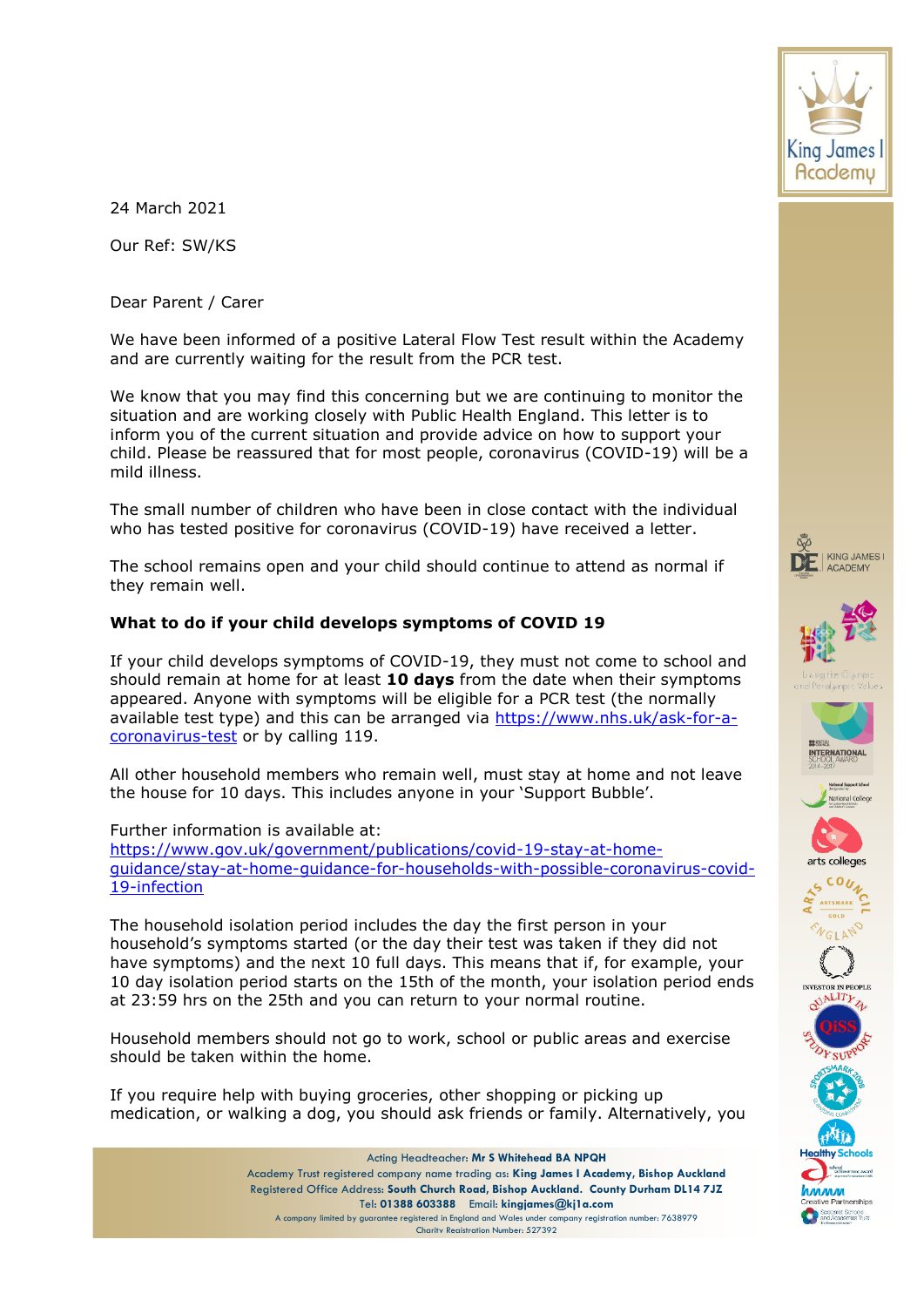

24 March 2021

Our Ref: SW/KS

Dear Parent / Carer

We have been informed of a positive Lateral Flow Test result within the Academy and are currently waiting for the result from the PCR test.

We know that you may find this concerning but we are continuing to monitor the situation and are working closely with Public Health England. This letter is to inform you of the current situation and provide advice on how to support your child. Please be reassured that for most people, coronavirus (COVID-19) will be a mild illness.

The small number of children who have been in close contact with the individual who has tested positive for coronavirus (COVID-19) have received a letter.

The school remains open and your child should continue to attend as normal if they remain well.

# **What to do if your child develops symptoms of COVID 19**

If your child develops symptoms of COVID-19, they must not come to school and should remain at home for at least **10 days** from the date when their symptoms appeared. Anyone with symptoms will be eligible for a PCR test (the normally available test type) and this can be arranged via [https://www.nhs.uk/ask-for-a](https://www.nhs.uk/ask-for-a-coronavirus-test)[coronavirus-test](https://www.nhs.uk/ask-for-a-coronavirus-test) or by calling 119.

All other household members who remain well, must stay at home and not leave the house for 10 days. This includes anyone in your 'Support Bubble'.

Further information is available at:

[https://www.gov.uk/government/publications/covid-19-stay-at-home](https://www.gov.uk/government/publications/covid-19-stay-at-home-guidance/stay-at-home-guidance-for-households-with-possible-coronavirus-covid-19-infection)[guidance/stay-at-home-guidance-for-households-with-possible-coronavirus-covid-](https://www.gov.uk/government/publications/covid-19-stay-at-home-guidance/stay-at-home-guidance-for-households-with-possible-coronavirus-covid-19-infection)[19-infection](https://www.gov.uk/government/publications/covid-19-stay-at-home-guidance/stay-at-home-guidance-for-households-with-possible-coronavirus-covid-19-infection)

The household isolation period includes the day the first person in your household's symptoms started (or the day their test was taken if they did not have symptoms) and the next 10 full days. This means that if, for example, your 10 day isolation period starts on the 15th of the month, your isolation period ends at 23:59 hrs on the 25th and you can return to your normal routine.

Household members should not go to work, school or public areas and exercise should be taken within the home.

If you require help with buying groceries, other shopping or picking up medication, or walking a dog, you should ask friends or family. Alternatively, you



Acting Headteacher: **Mr S Whitehead BA NPQH** Academy Trust registered company name trading as: **King James I Academy, Bishop Auckland** Registered Office Address: **South Church Road, Bishop Auckland. County Durham DL14 7JZ** Tel: **01388 603388** Email: **kingjames@kj1a.com** A company limited by guarantee registered in England and Wales under company registration number: 7638979 Charity Registration Number: 527392